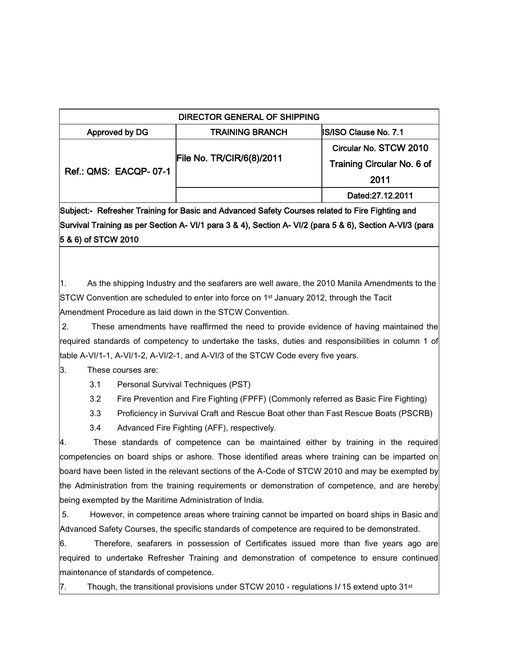| DIRECTOR GENERAL OF SHIPPING |                           |                              |
|------------------------------|---------------------------|------------------------------|
| Approved by DG               | <b>TRAINING BRANCH</b>    | <b>IS/ISO Clause No. 7.1</b> |
| <b>Ref.: QMS: EACQP-07-1</b> | File No. TR/CIR/6(8)/2011 | Circular No. STCW 2010       |
|                              |                           | Training Circular No. 6 of   |
|                              |                           | 2011                         |
|                              |                           | Dated:27.12.2011             |

Subject:- Refresher Training for Basic and Advanced Safety Courses related to Fire Fighting and Survival Training as per Section A- VI/1 para 3 & 4), Section A- VI/2 (para 5 & 6), Section A-VI/3 (para 5 & 6) of STCW 2010

1. As the shipping Industry and the seafarers are well aware, the 2010 Manila Amendments to the STCW Convention are scheduled to enter into force on 1<sup>st</sup> January 2012, through the Tacit Amendment Procedure as laid down in the STCW Convention.

2. These amendments have reaffirmed the need to provide evidence of having maintained the required standards of competency to undertake the tasks, duties and responsibilities in column 1 of table A-VI/1-1, A-VI/1-2, A-VI/2-1, and A-VI/3 of the STCW Code every five years.

3. These courses are:

3.1 Personal Survival Techniques (PST)

3.2 Fire Prevention and Fire Fighting (FPFF) (Commonly referred as Basic Fire Fighting)

3.3 Proficiency in Survival Craft and Rescue Boat other than Fast Rescue Boats (PSCRB)

3.4 Advanced Fire Fighting (AFF), respectively.

4. These standards of competence can be maintained either by training in the required competencies on board ships or ashore. Those identified areas where training can be imparted on board have been listed in the relevant sections of the A-Code of STCW 2010 and may be exempted by the Administration from the training requirements or demonstration of competence, and are hereby being exempted by the Maritime Administration of India.

5. However, in competence areas where training cannot be imparted on board ships in Basic and Advanced Safety Courses, the specific standards of competence are required to be demonstrated.

6. Therefore, seafarers in possession of Certificates issued more than five years ago are required to undertake Refresher Training and demonstration of competence to ensure continued maintenance of standards of competence.

7. Though, the transitional provisions under STCW 2010 - regulations I/15 extend upto 31<sup>st</sup>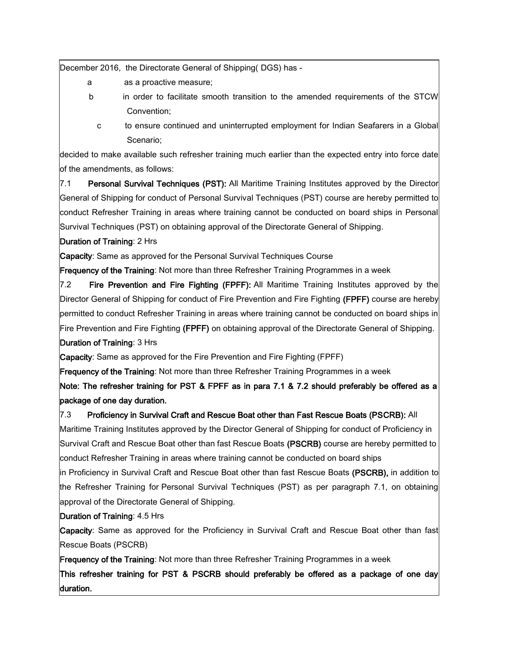December 2016, the Directorate General of Shipping( DGS) has -

- a as a proactive measure;
- b in order to facilitate smooth transition to the amended requirements of the STCW Convention;
	- c to ensure continued and uninterrupted employment for Indian Seafarers in a Global Scenario;

decided to make available such refresher training much earlier than the expected entry into force date of the amendments, as follows:

7.1 **Personal Survival Techniques (PST):** All Maritime Training Institutes approved by the Director General of Shipping for conduct of Personal Survival Techniques (PST) course are hereby permitted to conduct Refresher Training in areas where training cannot be conducted on board ships in Personal Survival Techniques (PST) on obtaining approval of the Directorate General of Shipping.

## Duration of Training: 2 Hrs

Capacity: Same as approved for the Personal Survival Techniques Course

Frequency of the Training: Not more than three Refresher Training Programmes in a week

7.2 Fire Prevention and Fire Fighting (FPFF): All Maritime Training Institutes approved by the Director General of Shipping for conduct of Fire Prevention and Fire Fighting (FPFF) course are hereby permitted to conduct Refresher Training in areas where training cannot be conducted on board ships in Fire Prevention and Fire Fighting (FPFF) on obtaining approval of the Directorate General of Shipping. Duration of Training: 3 Hrs

Capacity: Same as approved for the Fire Prevention and Fire Fighting (FPFF)

Frequency of the Training: Not more than three Refresher Training Programmes in a week

Note: The refresher training for PST & FPFF as in para 7.1 & 7.2 should preferably be offered as a package of one day duration.

## 7.3 Proficiency in Survival Craft and Rescue Boat other than Fast Rescue Boats (PSCRB): All

Maritime Training Institutes approved by the Director General of Shipping for conduct of Proficiency in Survival Craft and Rescue Boat other than fast Rescue Boats (PSCRB) course are hereby permitted to conduct Refresher Training in areas where training cannot be conducted on board ships

in Proficiency in Survival Craft and Rescue Boat other than fast Rescue Boats (PSCRB), in addition to the Refresher Training for Personal Survival Techniques (PST) as per paragraph 7.1, on obtaining approval of the Directorate General of Shipping.

## Duration of Training: 4.5 Hrs

Capacity: Same as approved for the Proficiency in Survival Craft and Rescue Boat other than fast Rescue Boats (PSCRB)

Frequency of the Training: Not more than three Refresher Training Programmes in a week

This refresher training for PST & PSCRB should preferably be offered as a package of one day duration.